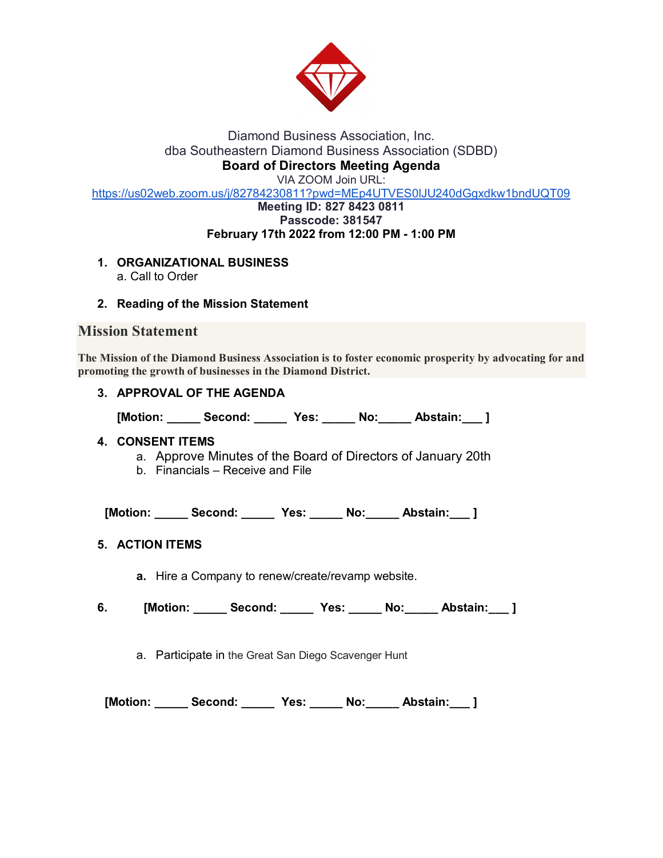

# Diamond Business Association, Inc. dba Southeastern Diamond Business Association (SDBD) **Board of Directors Meeting Agenda**

VIA ZOOM Join URL:

<https://us02web.zoom.us/j/82784230811?pwd=MEp4UTVES0lJU240dGgxdkw1bndUQT09>

#### **Meeting ID: 827 8423 0811 Passcode: 381547 February 17th 2022 from 12:00 PM - 1:00 PM**

- **1. ORGANIZATIONAL BUSINESS** 
	- a. Call to Order
- **2. Reading of the Mission Statement**

# **Mission Statement**

**The Mission of the Diamond Business Association is to foster economic prosperity by advocating for and promoting the growth of businesses in the Diamond District.**

**3. APPROVAL OF THE AGENDA**

**[Motion: \_\_\_\_\_ Second: \_\_\_\_\_ Yes: \_\_\_\_\_ No:\_\_\_\_\_ Abstain:\_\_\_ ]**

#### **4. CONSENT ITEMS**

- a. Approve Minutes of the Board of Directors of January 20th
- b. Financials Receive and File

 **[Motion: \_\_\_\_\_ Second: \_\_\_\_\_ Yes: \_\_\_\_\_ No:\_\_\_\_\_ Abstain:\_\_\_ ]**

# **5. ACTION ITEMS**

**a.** Hire a Company to renew/create/revamp website.

**6. [Motion: \_\_\_\_\_ Second: \_\_\_\_\_ Yes: \_\_\_\_\_ No:\_\_\_\_\_ Abstain:\_\_\_ ]**

a. Participate in the Great San Diego Scavenger Hunt

 **[Motion: \_\_\_\_\_ Second: \_\_\_\_\_ Yes: \_\_\_\_\_ No:\_\_\_\_\_ Abstain:\_\_\_ ]**